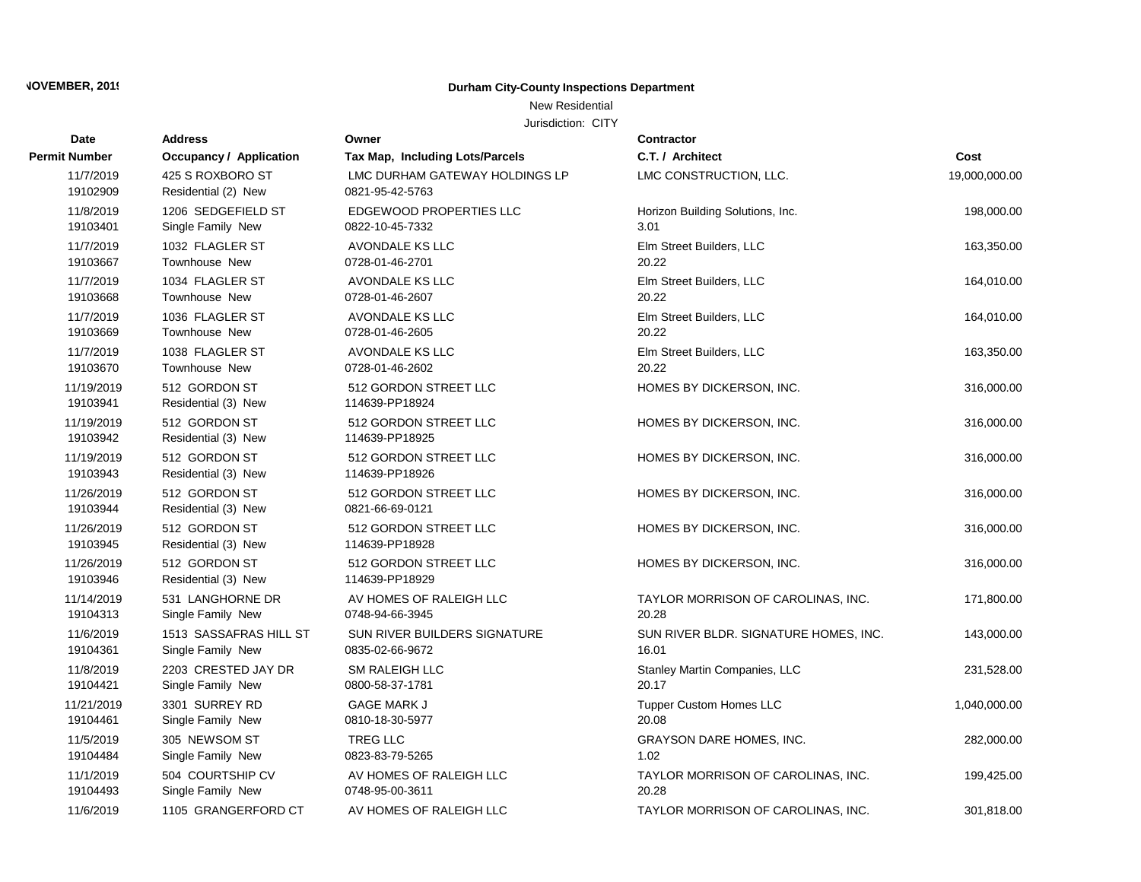### New Residential

| Date                   | <b>Address</b>                          | Owner                                             | <b>Contractor</b>                     |               |
|------------------------|-----------------------------------------|---------------------------------------------------|---------------------------------------|---------------|
| <b>Permit Number</b>   | <b>Occupancy / Application</b>          | Tax Map, Including Lots/Parcels                   | C.T. / Architect                      | Cost          |
| 11/7/2019<br>19102909  | 425 S ROXBORO ST<br>Residential (2) New | LMC DURHAM GATEWAY HOLDINGS LP<br>0821-95-42-5763 | LMC CONSTRUCTION, LLC.                | 19,000,000.00 |
| 11/8/2019              | 1206 SEDGEFIELD ST                      | EDGEWOOD PROPERTIES LLC                           | Horizon Building Solutions, Inc.      | 198,000.00    |
| 19103401               | Single Family New                       | 0822-10-45-7332                                   | 3.01                                  |               |
| 11/7/2019              | 1032 FLAGLER ST                         | AVONDALE KS LLC                                   | Elm Street Builders, LLC              | 163,350.00    |
| 19103667               | <b>Townhouse New</b>                    | 0728-01-46-2701                                   | 20.22                                 |               |
| 11/7/2019              | 1034 FLAGLER ST                         | AVONDALE KS LLC                                   | Elm Street Builders, LLC              | 164,010.00    |
| 19103668               | <b>Townhouse New</b>                    | 0728-01-46-2607                                   | 20.22                                 |               |
| 11/7/2019              | 1036 FLAGLER ST                         | <b>AVONDALE KS LLC</b>                            | Elm Street Builders, LLC              | 164,010.00    |
| 19103669               | Townhouse New                           | 0728-01-46-2605                                   | 20.22                                 |               |
| 11/7/2019              | 1038 FLAGLER ST                         | AVONDALE KS LLC                                   | Elm Street Builders, LLC              | 163,350.00    |
| 19103670               | <b>Townhouse New</b>                    | 0728-01-46-2602                                   | 20.22                                 |               |
| 11/19/2019<br>19103941 | 512 GORDON ST<br>Residential (3) New    | 512 GORDON STREET LLC<br>114639-PP18924           | HOMES BY DICKERSON, INC.              | 316,000.00    |
| 11/19/2019<br>19103942 | 512 GORDON ST<br>Residential (3) New    | 512 GORDON STREET LLC<br>114639-PP18925           | HOMES BY DICKERSON, INC.              | 316,000.00    |
| 11/19/2019<br>19103943 | 512 GORDON ST<br>Residential (3) New    | 512 GORDON STREET LLC<br>114639-PP18926           | HOMES BY DICKERSON, INC.              | 316,000.00    |
| 11/26/2019<br>19103944 | 512 GORDON ST<br>Residential (3) New    | 512 GORDON STREET LLC<br>0821-66-69-0121          | HOMES BY DICKERSON, INC.              | 316,000.00    |
| 11/26/2019<br>19103945 | 512 GORDON ST<br>Residential (3) New    | 512 GORDON STREET LLC<br>114639-PP18928           | HOMES BY DICKERSON, INC.              | 316,000.00    |
| 11/26/2019<br>19103946 | 512 GORDON ST<br>Residential (3) New    | 512 GORDON STREET LLC<br>114639-PP18929           | HOMES BY DICKERSON, INC.              | 316,000.00    |
| 11/14/2019             | 531 LANGHORNE DR                        | AV HOMES OF RALEIGH LLC                           | TAYLOR MORRISON OF CAROLINAS, INC.    | 171,800.00    |
| 19104313               | Single Family New                       | 0748-94-66-3945                                   | 20.28                                 |               |
| 11/6/2019              | 1513 SASSAFRAS HILL ST                  | SUN RIVER BUILDERS SIGNATURE                      | SUN RIVER BLDR. SIGNATURE HOMES, INC. | 143,000.00    |
| 19104361               | Single Family New                       | 0835-02-66-9672                                   | 16.01                                 |               |
| 11/8/2019              | 2203 CRESTED JAY DR                     | SM RALEIGH LLC                                    | Stanley Martin Companies, LLC         | 231,528.00    |
| 19104421               | Single Family New                       | 0800-58-37-1781                                   | 20.17                                 |               |
| 11/21/2019             | 3301 SURREY RD                          | <b>GAGE MARK J</b>                                | <b>Tupper Custom Homes LLC</b>        | 1,040,000.00  |
| 19104461               | Single Family New                       | 0810-18-30-5977                                   | 20.08                                 |               |
| 11/5/2019              | 305 NEWSOM ST                           | TREG LLC                                          | GRAYSON DARE HOMES, INC.              | 282,000.00    |
| 19104484               | Single Family New                       | 0823-83-79-5265                                   | 1.02                                  |               |
| 11/1/2019              | 504 COURTSHIP CV                        | AV HOMES OF RALEIGH LLC                           | TAYLOR MORRISON OF CAROLINAS, INC.    | 199,425.00    |
| 19104493               | Single Family New                       | 0748-95-00-3611                                   | 20.28                                 |               |
| 11/6/2019              | 1105 GRANGERFORD CT                     | AV HOMES OF RALEIGH LLC                           | TAYLOR MORRISON OF CAROLINAS, INC.    | 301,818.00    |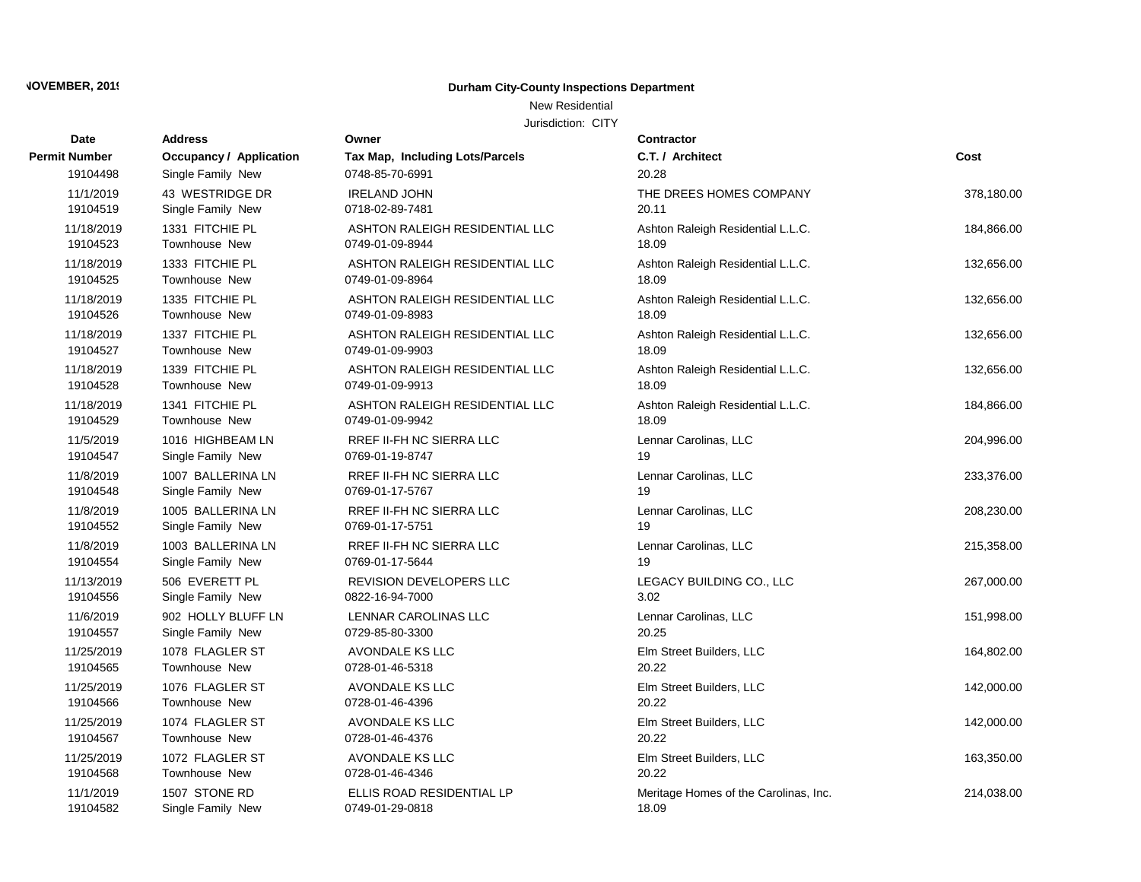### New Residential

| <b>Date</b>          | <b>Address</b>                 | Owner                           | <b>Contractor</b>                     |            |
|----------------------|--------------------------------|---------------------------------|---------------------------------------|------------|
| <b>Permit Number</b> | <b>Occupancy / Application</b> | Tax Map, Including Lots/Parcels | C.T. / Architect                      | Cost       |
| 19104498             | Single Family New              | 0748-85-70-6991                 | 20.28                                 |            |
| 11/1/2019            | 43 WESTRIDGE DR                | <b>IRELAND JOHN</b>             | THE DREES HOMES COMPANY               | 378,180.00 |
| 19104519             | Single Family New              | 0718-02-89-7481                 | 20.11                                 |            |
| 11/18/2019           | 1331 FITCHIE PL                | ASHTON RALEIGH RESIDENTIAL LLC  | Ashton Raleigh Residential L.L.C.     | 184,866.00 |
| 19104523             | Townhouse New                  | 0749-01-09-8944                 | 18.09                                 |            |
| 11/18/2019           | 1333 FITCHIE PL                | ASHTON RALEIGH RESIDENTIAL LLC  | Ashton Raleigh Residential L.L.C.     | 132,656.00 |
| 19104525             | Townhouse New                  | 0749-01-09-8964                 | 18.09                                 |            |
| 11/18/2019           | 1335 FITCHIE PL                | ASHTON RALEIGH RESIDENTIAL LLC  | Ashton Raleigh Residential L.L.C.     | 132,656.00 |
| 19104526             | Townhouse New                  | 0749-01-09-8983                 | 18.09                                 |            |
| 11/18/2019           | 1337 FITCHIE PL                | ASHTON RALEIGH RESIDENTIAL LLC  | Ashton Raleigh Residential L.L.C.     | 132,656.00 |
| 19104527             | Townhouse New                  | 0749-01-09-9903                 | 18.09                                 |            |
| 11/18/2019           | 1339 FITCHIE PL                | ASHTON RALEIGH RESIDENTIAL LLC  | Ashton Raleigh Residential L.L.C.     | 132,656.00 |
| 19104528             | Townhouse New                  | 0749-01-09-9913                 | 18.09                                 |            |
| 11/18/2019           | 1341 FITCHIE PL                | ASHTON RALEIGH RESIDENTIAL LLC  | Ashton Raleigh Residential L.L.C.     | 184,866.00 |
| 19104529             | Townhouse New                  | 0749-01-09-9942                 | 18.09                                 |            |
| 11/5/2019            | 1016 HIGHBEAM LN               | RREF II-FH NC SIERRA LLC        | Lennar Carolinas, LLC                 | 204,996.00 |
| 19104547             | Single Family New              | 0769-01-19-8747                 | 19                                    |            |
| 11/8/2019            | 1007 BALLERINA LN              | RREF II-FH NC SIERRA LLC        | Lennar Carolinas, LLC                 | 233,376.00 |
| 19104548             | Single Family New              | 0769-01-17-5767                 | 19                                    |            |
| 11/8/2019            | 1005 BALLERINA LN              | RREF II-FH NC SIERRA LLC        | Lennar Carolinas, LLC                 | 208,230.00 |
| 19104552             | Single Family New              | 0769-01-17-5751                 | 19                                    |            |
| 11/8/2019            | 1003 BALLERINA LN              | RREF II-FH NC SIERRA LLC        | Lennar Carolinas, LLC                 | 215,358.00 |
| 19104554             | Single Family New              | 0769-01-17-5644                 | 19                                    |            |
| 11/13/2019           | 506 EVERETT PL                 | REVISION DEVELOPERS LLC         | LEGACY BUILDING CO., LLC              | 267,000.00 |
| 19104556             | Single Family New              | 0822-16-94-7000                 | 3.02                                  |            |
| 11/6/2019            | 902 HOLLY BLUFF LN             | LENNAR CAROLINAS LLC            | Lennar Carolinas, LLC                 | 151,998.00 |
| 19104557             | Single Family New              | 0729-85-80-3300                 | 20.25                                 |            |
| 11/25/2019           | 1078 FLAGLER ST                | AVONDALE KS LLC                 | Elm Street Builders, LLC              | 164,802.00 |
| 19104565             | Townhouse New                  | 0728-01-46-5318                 | 20.22                                 |            |
| 11/25/2019           | 1076 FLAGLER ST                | AVONDALE KS LLC                 | Elm Street Builders, LLC              | 142,000.00 |
| 19104566             | <b>Townhouse New</b>           | 0728-01-46-4396                 | 20.22                                 |            |
| 11/25/2019           | 1074 FLAGLER ST                | <b>AVONDALE KS LLC</b>          | Elm Street Builders, LLC              | 142,000.00 |
| 19104567             | Townhouse New                  | 0728-01-46-4376                 | 20.22                                 |            |
| 11/25/2019           | 1072 FLAGLER ST                | AVONDALE KS LLC                 | Elm Street Builders, LLC              | 163,350.00 |
| 19104568             | Townhouse New                  | 0728-01-46-4346                 | 20.22                                 |            |
| 11/1/2019            | 1507 STONE RD                  | ELLIS ROAD RESIDENTIAL LP       | Meritage Homes of the Carolinas, Inc. | 214,038.00 |
| 19104582             | Single Family New              | 0749-01-29-0818                 | 18.09                                 |            |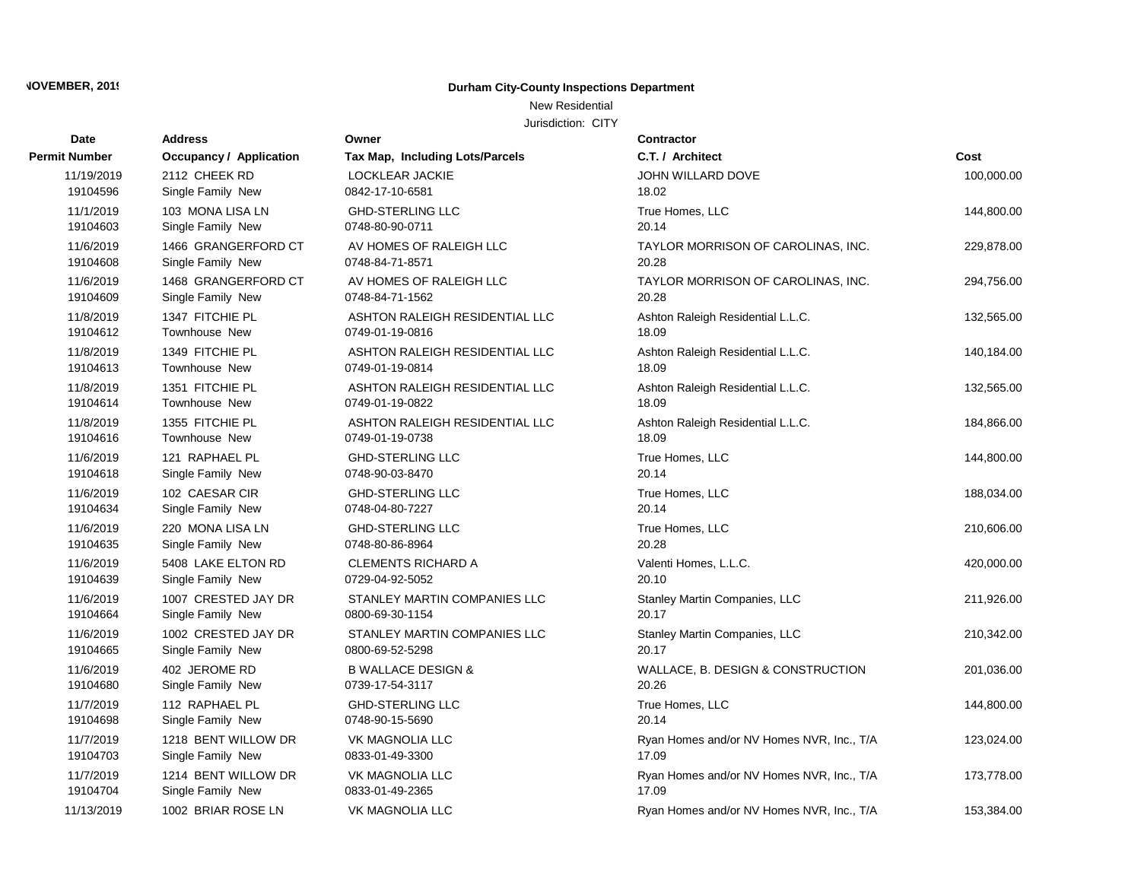## New Residential

| Date                  | <b>Address</b>                           | Owner                                           | Contractor                                 |            |
|-----------------------|------------------------------------------|-------------------------------------------------|--------------------------------------------|------------|
| Permit Number         | Occupancy / Application                  | Tax Map, Including Lots/Parcels                 | C.T. / Architect                           | Cost       |
| 11/19/2019            | 2112 CHEEK RD                            | LOCKLEAR JACKIE                                 | JOHN WILLARD DOVE                          | 100,000.00 |
| 19104596              | Single Family New                        | 0842-17-10-6581                                 | 18.02                                      |            |
| 11/1/2019             | 103 MONA LISA LN                         | <b>GHD-STERLING LLC</b>                         | True Homes, LLC                            | 144,800.00 |
| 19104603              | Single Family New                        | 0748-80-90-0711                                 | 20.14                                      |            |
| 11/6/2019             | 1466 GRANGERFORD CT                      | AV HOMES OF RALEIGH LLC                         | TAYLOR MORRISON OF CAROLINAS, INC.         | 229,878.00 |
| 19104608              | Single Family New                        | 0748-84-71-8571                                 | 20.28                                      |            |
| 11/6/2019             | 1468 GRANGERFORD CT                      | AV HOMES OF RALEIGH LLC                         | TAYLOR MORRISON OF CAROLINAS, INC.         | 294,756.00 |
| 19104609              | Single Family New                        | 0748-84-71-1562                                 | 20.28                                      |            |
| 11/8/2019             | 1347 FITCHIE PL                          | ASHTON RALEIGH RESIDENTIAL LLC                  | Ashton Raleigh Residential L.L.C.          | 132,565.00 |
| 19104612              | <b>Townhouse New</b>                     | 0749-01-19-0816                                 | 18.09                                      |            |
| 11/8/2019             | 1349 FITCHIE PL                          | ASHTON RALEIGH RESIDENTIAL LLC                  | Ashton Raleigh Residential L.L.C.          | 140,184.00 |
| 19104613              | Townhouse New                            | 0749-01-19-0814                                 | 18.09                                      |            |
| 11/8/2019             | 1351 FITCHIE PL                          | ASHTON RALEIGH RESIDENTIAL LLC                  | Ashton Raleigh Residential L.L.C.          | 132,565.00 |
| 19104614              | Townhouse New                            | 0749-01-19-0822                                 | 18.09                                      |            |
| 11/8/2019             | 1355 FITCHIE PL                          | ASHTON RALEIGH RESIDENTIAL LLC                  | Ashton Raleigh Residential L.L.C.          | 184,866.00 |
| 19104616              | Townhouse New                            | 0749-01-19-0738                                 | 18.09                                      |            |
| 11/6/2019             | 121 RAPHAEL PL                           | <b>GHD-STERLING LLC</b>                         | True Homes, LLC                            | 144,800.00 |
| 19104618              | Single Family New                        | 0748-90-03-8470                                 | 20.14                                      |            |
| 11/6/2019             | 102 CAESAR CIR                           | <b>GHD-STERLING LLC</b>                         | True Homes, LLC                            | 188,034.00 |
| 19104634              | Single Family New                        | 0748-04-80-7227                                 | 20.14                                      |            |
| 11/6/2019             | 220 MONA LISA LN                         | <b>GHD-STERLING LLC</b>                         | True Homes, LLC                            | 210,606.00 |
| 19104635              | Single Family New                        | 0748-80-86-8964                                 | 20.28                                      |            |
| 11/6/2019<br>19104639 | 5408 LAKE ELTON RD                       | <b>CLEMENTS RICHARD A</b><br>0729-04-92-5052    | Valenti Homes, L.L.C.<br>20.10             | 420,000.00 |
|                       | Single Family New                        |                                                 |                                            |            |
| 11/6/2019<br>19104664 | 1007 CRESTED JAY DR<br>Single Family New | STANLEY MARTIN COMPANIES LLC<br>0800-69-30-1154 | Stanley Martin Companies, LLC<br>20.17     | 211,926.00 |
| 11/6/2019             |                                          |                                                 |                                            |            |
| 19104665              | 1002 CRESTED JAY DR<br>Single Family New | STANLEY MARTIN COMPANIES LLC<br>0800-69-52-5298 | Stanley Martin Companies, LLC<br>20.17     | 210,342.00 |
| 11/6/2019             | 402 JEROME RD                            | <b>B WALLACE DESIGN &amp;</b>                   |                                            |            |
| 19104680              | Single Family New                        | 0739-17-54-3117                                 | WALLACE, B. DESIGN & CONSTRUCTION<br>20.26 | 201,036.00 |
| 11/7/2019             | 112 RAPHAEL PL                           | <b>GHD-STERLING LLC</b>                         | True Homes, LLC                            | 144,800.00 |
| 19104698              | Single Family New                        | 0748-90-15-5690                                 | 20.14                                      |            |
| 11/7/2019             | 1218 BENT WILLOW DR                      | <b>VK MAGNOLIA LLC</b>                          | Ryan Homes and/or NV Homes NVR, Inc., T/A  | 123,024.00 |
| 19104703              | Single Family New                        | 0833-01-49-3300                                 | 17.09                                      |            |
| 11/7/2019             | 1214 BENT WILLOW DR                      | <b>VK MAGNOLIA LLC</b>                          | Ryan Homes and/or NV Homes NVR, Inc., T/A  | 173,778.00 |
| 19104704              | Single Family New                        | 0833-01-49-2365                                 | 17.09                                      |            |
|                       |                                          |                                                 |                                            |            |
| 11/13/2019            | 1002 BRIAR ROSE LN                       | <b>VK MAGNOLIA LLC</b>                          | Ryan Homes and/or NV Homes NVR, Inc., T/A  | 153,384.00 |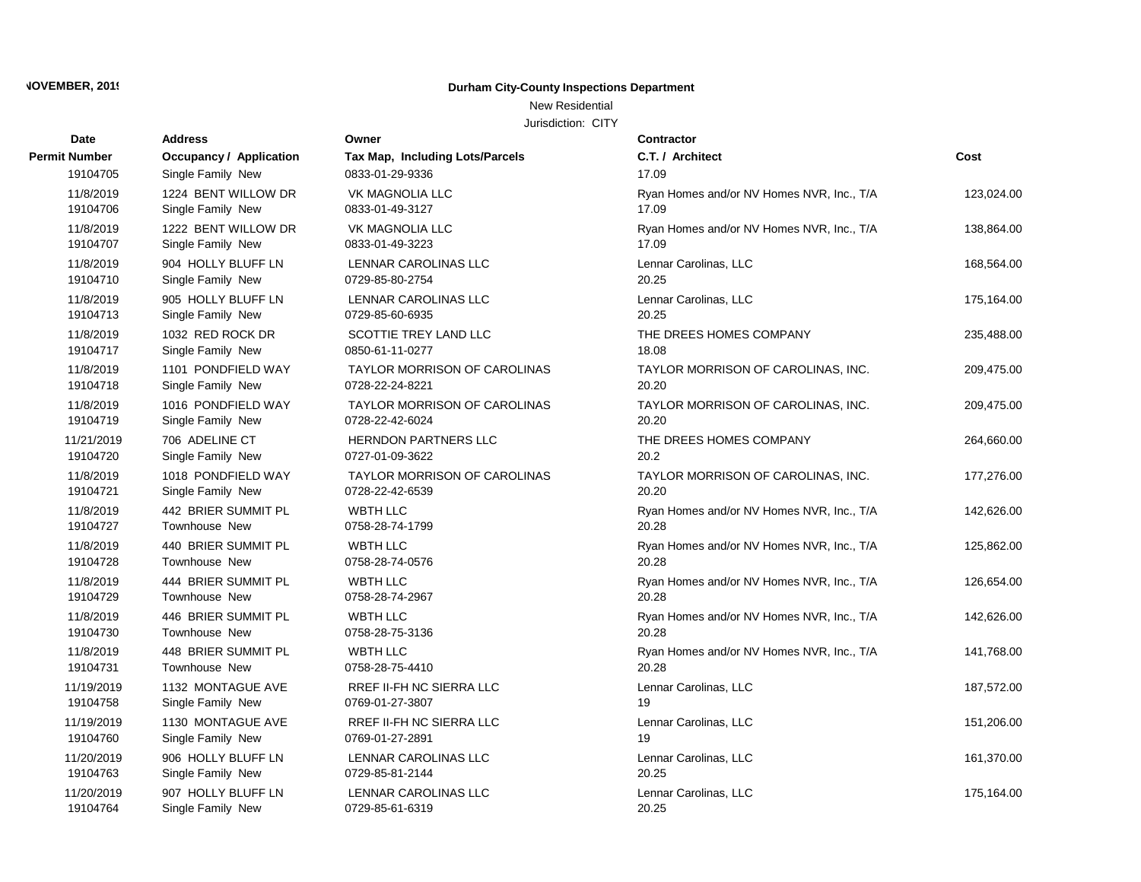## New Residential

| Date          | <b>Address</b>                 | Owner                               | Contractor                                |            |
|---------------|--------------------------------|-------------------------------------|-------------------------------------------|------------|
| Permit Number | <b>Occupancy / Application</b> | Tax Map, Including Lots/Parcels     | C.T. / Architect                          | Cost       |
| 19104705      | Single Family New              | 0833-01-29-9336                     | 17.09                                     |            |
| 11/8/2019     | 1224 BENT WILLOW DR            | <b>VK MAGNOLIA LLC</b>              | Ryan Homes and/or NV Homes NVR, Inc., T/A | 123.024.00 |
| 19104706      | Single Family New              | 0833-01-49-3127                     | 17.09                                     |            |
| 11/8/2019     | 1222 BENT WILLOW DR            | <b>VK MAGNOLIA LLC</b>              | Ryan Homes and/or NV Homes NVR, Inc., T/A | 138,864.00 |
| 19104707      | Single Family New              | 0833-01-49-3223                     | 17.09                                     |            |
| 11/8/2019     | 904 HOLLY BLUFF LN             | <b>LENNAR CAROLINAS LLC</b>         | Lennar Carolinas, LLC                     | 168,564.00 |
| 19104710      | Single Family New              | 0729-85-80-2754                     | 20.25                                     |            |
| 11/8/2019     | 905 HOLLY BLUFF LN             | LENNAR CAROLINAS LLC                | Lennar Carolinas, LLC                     | 175,164.00 |
| 19104713      | Single Family New              | 0729-85-60-6935                     | 20.25                                     |            |
| 11/8/2019     | 1032 RED ROCK DR               | SCOTTIE TREY LAND LLC               | THE DREES HOMES COMPANY                   | 235,488.00 |
| 19104717      | Single Family New              | 0850-61-11-0277                     | 18.08                                     |            |
| 11/8/2019     | 1101 PONDFIELD WAY             | <b>TAYLOR MORRISON OF CAROLINAS</b> | TAYLOR MORRISON OF CAROLINAS, INC.        | 209,475.00 |
| 19104718      | Single Family New              | 0728-22-24-8221                     | 20.20                                     |            |
| 11/8/2019     | 1016 PONDFIELD WAY             | <b>TAYLOR MORRISON OF CAROLINAS</b> | TAYLOR MORRISON OF CAROLINAS, INC.        | 209,475.00 |
| 19104719      | Single Family New              | 0728-22-42-6024                     | 20.20                                     |            |
| 11/21/2019    | 706 ADELINE CT                 | <b>HERNDON PARTNERS LLC</b>         | THE DREES HOMES COMPANY                   | 264,660.00 |
| 19104720      | Single Family New              | 0727-01-09-3622                     | 20.2                                      |            |
| 11/8/2019     | 1018 PONDFIELD WAY             | <b>TAYLOR MORRISON OF CAROLINAS</b> | TAYLOR MORRISON OF CAROLINAS, INC.        | 177,276.00 |
| 19104721      | Single Family New              | 0728-22-42-6539                     | 20.20                                     |            |
| 11/8/2019     | 442 BRIER SUMMIT PL            | <b>WBTH LLC</b>                     | Ryan Homes and/or NV Homes NVR, Inc., T/A | 142,626.00 |
| 19104727      | Townhouse New                  | 0758-28-74-1799                     | 20.28                                     |            |
| 11/8/2019     | 440 BRIER SUMMIT PL            | <b>WBTH LLC</b>                     | Ryan Homes and/or NV Homes NVR, Inc., T/A | 125,862.00 |
| 19104728      | Townhouse New                  | 0758-28-74-0576                     | 20.28                                     |            |
| 11/8/2019     | 444 BRIER SUMMIT PL            | <b>WBTH LLC</b>                     | Ryan Homes and/or NV Homes NVR, Inc., T/A | 126,654.00 |
| 19104729      | Townhouse New                  | 0758-28-74-2967                     | 20.28                                     |            |
| 11/8/2019     | 446 BRIER SUMMIT PL            | <b>WBTH LLC</b>                     | Ryan Homes and/or NV Homes NVR, Inc., T/A | 142,626.00 |
| 19104730      | <b>Townhouse New</b>           | 0758-28-75-3136                     | 20.28                                     |            |
| 11/8/2019     | 448 BRIER SUMMIT PL            | <b>WBTH LLC</b>                     | Ryan Homes and/or NV Homes NVR, Inc., T/A | 141,768.00 |
| 19104731      | <b>Townhouse New</b>           | 0758-28-75-4410                     | 20.28                                     |            |
| 11/19/2019    | 1132 MONTAGUE AVE              | RREF II-FH NC SIERRA LLC            | Lennar Carolinas, LLC                     | 187,572.00 |
| 19104758      | Single Family New              | 0769-01-27-3807                     | 19                                        |            |
| 11/19/2019    | 1130 MONTAGUE AVE              | RREF II-FH NC SIERRA LLC            | Lennar Carolinas, LLC                     | 151,206.00 |
| 19104760      | Single Family New              | 0769-01-27-2891                     | 19                                        |            |
| 11/20/2019    | 906 HOLLY BLUFF LN             | LENNAR CAROLINAS LLC                | Lennar Carolinas, LLC                     | 161,370.00 |
| 19104763      | Single Family New              | 0729-85-81-2144                     | 20.25                                     |            |
| 11/20/2019    | 907 HOLLY BLUFF LN             | LENNAR CAROLINAS LLC                | Lennar Carolinas, LLC                     | 175,164.00 |
| 19104764      | Single Family New              | 0729-85-61-6319                     | 20.25                                     |            |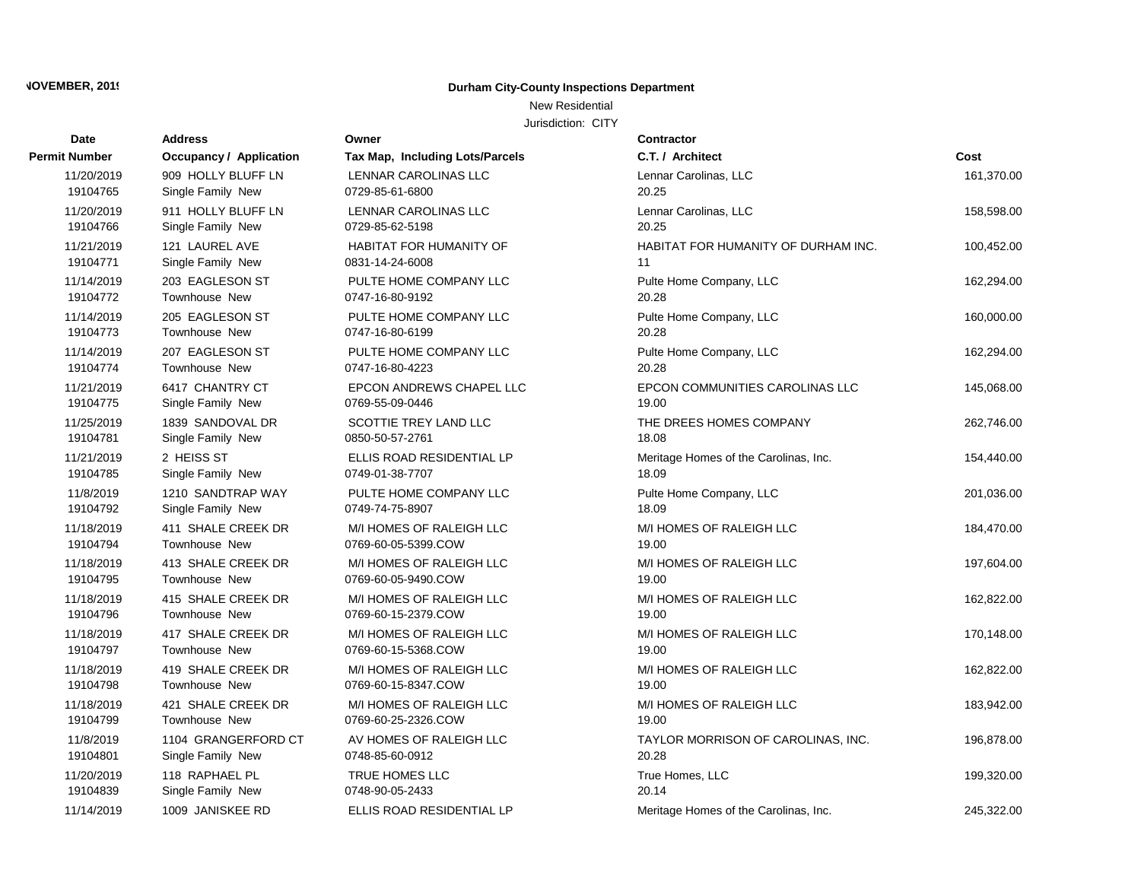New Residential

| <b>Date</b>   | <b>Address</b>                 | Owner                           | <b>Contractor</b>                     |            |
|---------------|--------------------------------|---------------------------------|---------------------------------------|------------|
| Permit Number | <b>Occupancy / Application</b> | Tax Map, Including Lots/Parcels | C.T. / Architect                      | Cost       |
| 11/20/2019    | 909 HOLLY BLUFF LN             | LENNAR CAROLINAS LLC            | Lennar Carolinas, LLC                 | 161,370.00 |
| 19104765      | Single Family New              | 0729-85-61-6800                 | 20.25                                 |            |
| 11/20/2019    | 911 HOLLY BLUFF LN             | <b>LENNAR CAROLINAS LLC</b>     | Lennar Carolinas, LLC                 | 158,598.00 |
| 19104766      | Single Family New              | 0729-85-62-5198                 | 20.25                                 |            |
| 11/21/2019    | 121 LAUREL AVE                 | <b>HABITAT FOR HUMANITY OF</b>  | HABITAT FOR HUMANITY OF DURHAM INC.   | 100,452.00 |
| 19104771      | Single Family New              | 0831-14-24-6008                 | 11                                    |            |
| 11/14/2019    | 203 EAGLESON ST                | PULTE HOME COMPANY LLC          | Pulte Home Company, LLC               | 162,294.00 |
| 19104772      | Townhouse New                  | 0747-16-80-9192                 | 20.28                                 |            |
| 11/14/2019    | 205 EAGLESON ST                | PULTE HOME COMPANY LLC          | Pulte Home Company, LLC               | 160,000.00 |
| 19104773      | <b>Townhouse New</b>           | 0747-16-80-6199                 | 20.28                                 |            |
| 11/14/2019    | 207 EAGLESON ST                | PULTE HOME COMPANY LLC          | Pulte Home Company, LLC               | 162,294.00 |
| 19104774      | <b>Townhouse New</b>           | 0747-16-80-4223                 | 20.28                                 |            |
| 11/21/2019    | 6417 CHANTRY CT                | EPCON ANDREWS CHAPEL LLC        | EPCON COMMUNITIES CAROLINAS LLC       | 145,068.00 |
| 19104775      | Single Family New              | 0769-55-09-0446                 | 19.00                                 |            |
| 11/25/2019    | 1839 SANDOVAL DR               | SCOTTIE TREY LAND LLC           | THE DREES HOMES COMPANY               | 262,746.00 |
| 19104781      | Single Family New              | 0850-50-57-2761                 | 18.08                                 |            |
| 11/21/2019    | 2 HEISS ST                     | ELLIS ROAD RESIDENTIAL LP       | Meritage Homes of the Carolinas, Inc. | 154,440.00 |
| 19104785      | Single Family New              | 0749-01-38-7707                 | 18.09                                 |            |
| 11/8/2019     | 1210 SANDTRAP WAY              | PULTE HOME COMPANY LLC          | Pulte Home Company, LLC               | 201,036.00 |
| 19104792      | Single Family New              | 0749-74-75-8907                 | 18.09                                 |            |
| 11/18/2019    | 411 SHALE CREEK DR             | M/I HOMES OF RALEIGH LLC        | M/I HOMES OF RALEIGH LLC              | 184,470.00 |
| 19104794      | Townhouse New                  | 0769-60-05-5399.COW             | 19.00                                 |            |
| 11/18/2019    | 413 SHALE CREEK DR             | M/I HOMES OF RALEIGH LLC        | M/I HOMES OF RALEIGH LLC              | 197,604.00 |
| 19104795      | <b>Townhouse New</b>           | 0769-60-05-9490.COW             | 19.00                                 |            |
| 11/18/2019    | 415 SHALE CREEK DR             | M/I HOMES OF RALEIGH LLC        | M/I HOMES OF RALEIGH LLC              | 162,822.00 |
| 19104796      | Townhouse New                  | 0769-60-15-2379.COW             | 19.00                                 |            |
| 11/18/2019    | 417 SHALE CREEK DR             | M/I HOMES OF RALEIGH LLC        | M/I HOMES OF RALEIGH LLC              | 170,148.00 |
| 19104797      | Townhouse New                  | 0769-60-15-5368.COW             | 19.00                                 |            |
| 11/18/2019    | 419 SHALE CREEK DR             | M/I HOMES OF RALEIGH LLC        | M/I HOMES OF RALEIGH LLC              | 162,822.00 |
| 19104798      | <b>Townhouse New</b>           | 0769-60-15-8347.COW             | 19.00                                 |            |
| 11/18/2019    | 421 SHALE CREEK DR             | M/I HOMES OF RALEIGH LLC        | M/I HOMES OF RALEIGH LLC              | 183,942.00 |
| 19104799      | <b>Townhouse New</b>           | 0769-60-25-2326.COW             | 19.00                                 |            |
| 11/8/2019     | 1104 GRANGERFORD CT            | AV HOMES OF RALEIGH LLC         | TAYLOR MORRISON OF CAROLINAS, INC.    | 196,878.00 |
| 19104801      | Single Family New              | 0748-85-60-0912                 | 20.28                                 |            |
| 11/20/2019    | 118 RAPHAEL PL                 | TRUE HOMES LLC                  | True Homes, LLC                       | 199,320.00 |
| 19104839      | Single Family New              | 0748-90-05-2433                 | 20.14                                 |            |
| 11/14/2019    | 1009 JANISKEE RD               | ELLIS ROAD RESIDENTIAL LP       | Meritage Homes of the Carolinas, Inc. | 245,322.00 |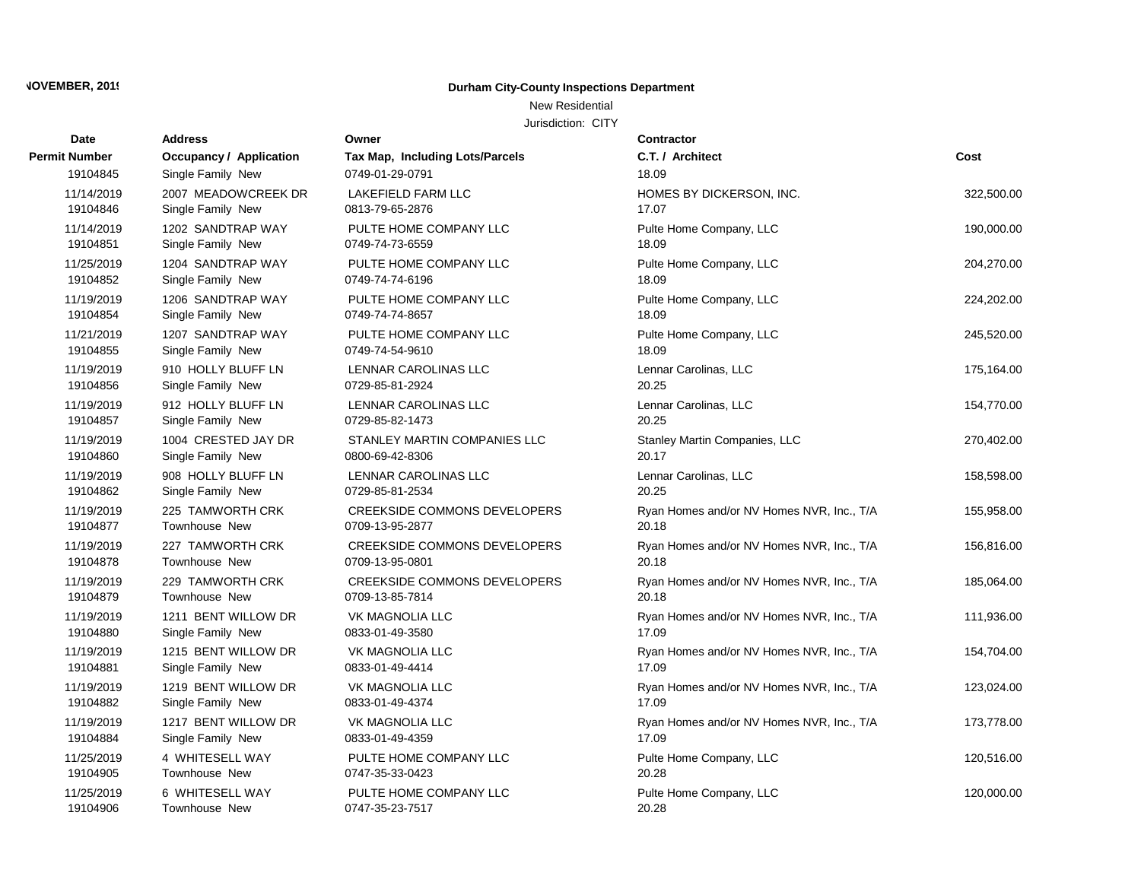## New Residential

| Date          | <b>Address</b>                 | Owner                               | Contractor                                |            |
|---------------|--------------------------------|-------------------------------------|-------------------------------------------|------------|
| Permit Number | <b>Occupancy / Application</b> | Tax Map, Including Lots/Parcels     | C.T. / Architect                          | Cost       |
| 19104845      | Single Family New              | 0749-01-29-0791                     | 18.09                                     |            |
| 11/14/2019    | 2007 MEADOWCREEK DR            | <b>LAKEFIELD FARM LLC</b>           | HOMES BY DICKERSON, INC.                  | 322,500.00 |
| 19104846      | Single Family New              | 0813-79-65-2876                     | 17.07                                     |            |
| 11/14/2019    | 1202 SANDTRAP WAY              | PULTE HOME COMPANY LLC              | Pulte Home Company, LLC                   | 190,000.00 |
| 19104851      | Single Family New              | 0749-74-73-6559                     | 18.09                                     |            |
| 11/25/2019    | 1204 SANDTRAP WAY              | PULTE HOME COMPANY LLC              | Pulte Home Company, LLC                   | 204,270.00 |
| 19104852      | Single Family New              | 0749-74-74-6196                     | 18.09                                     |            |
| 11/19/2019    | 1206 SANDTRAP WAY              | PULTE HOME COMPANY LLC              | Pulte Home Company, LLC                   | 224,202.00 |
| 19104854      | Single Family New              | 0749-74-74-8657                     | 18.09                                     |            |
| 11/21/2019    | 1207 SANDTRAP WAY              | PULTE HOME COMPANY LLC              | Pulte Home Company, LLC                   | 245,520.00 |
| 19104855      | Single Family New              | 0749-74-54-9610                     | 18.09                                     |            |
| 11/19/2019    | 910 HOLLY BLUFF LN             | <b>LENNAR CAROLINAS LLC</b>         | Lennar Carolinas, LLC                     | 175,164.00 |
| 19104856      | Single Family New              | 0729-85-81-2924                     | 20.25                                     |            |
| 11/19/2019    | 912 HOLLY BLUFF LN             | <b>LENNAR CAROLINAS LLC</b>         | Lennar Carolinas, LLC                     | 154,770.00 |
| 19104857      | Single Family New              | 0729-85-82-1473                     | 20.25                                     |            |
| 11/19/2019    | 1004 CRESTED JAY DR            | STANLEY MARTIN COMPANIES LLC        | Stanley Martin Companies, LLC             | 270,402.00 |
| 19104860      | Single Family New              | 0800-69-42-8306                     | 20.17                                     |            |
| 11/19/2019    | 908 HOLLY BLUFF LN             | LENNAR CAROLINAS LLC                | Lennar Carolinas, LLC                     | 158,598.00 |
| 19104862      | Single Family New              | 0729-85-81-2534                     | 20.25                                     |            |
| 11/19/2019    | 225 TAMWORTH CRK               | <b>CREEKSIDE COMMONS DEVELOPERS</b> | Ryan Homes and/or NV Homes NVR, Inc., T/A | 155,958.00 |
| 19104877      | <b>Townhouse New</b>           | 0709-13-95-2877                     | 20.18                                     |            |
| 11/19/2019    | 227 TAMWORTH CRK               | <b>CREEKSIDE COMMONS DEVELOPERS</b> | Ryan Homes and/or NV Homes NVR, Inc., T/A | 156,816.00 |
| 19104878      | Townhouse New                  | 0709-13-95-0801                     | 20.18                                     |            |
| 11/19/2019    | 229 TAMWORTH CRK               | <b>CREEKSIDE COMMONS DEVELOPERS</b> | Ryan Homes and/or NV Homes NVR, Inc., T/A | 185,064.00 |
| 19104879      | Townhouse New                  | 0709-13-85-7814                     | 20.18                                     |            |
| 11/19/2019    | 1211 BENT WILLOW DR            | VK MAGNOLIA LLC                     | Ryan Homes and/or NV Homes NVR, Inc., T/A | 111,936.00 |
| 19104880      | Single Family New              | 0833-01-49-3580                     | 17.09                                     |            |
| 11/19/2019    | 1215 BENT WILLOW DR            | <b>VK MAGNOLIA LLC</b>              | Ryan Homes and/or NV Homes NVR, Inc., T/A | 154,704.00 |
| 19104881      | Single Family New              | 0833-01-49-4414                     | 17.09                                     |            |
| 11/19/2019    | 1219 BENT WILLOW DR            | VK MAGNOLIA LLC                     | Ryan Homes and/or NV Homes NVR, Inc., T/A | 123,024.00 |
| 19104882      | Single Family New              | 0833-01-49-4374                     | 17.09                                     |            |
| 11/19/2019    | 1217 BENT WILLOW DR            | <b>VK MAGNOLIA LLC</b>              | Ryan Homes and/or NV Homes NVR, Inc., T/A | 173,778.00 |
| 19104884      | Single Family New              | 0833-01-49-4359                     | 17.09                                     |            |
| 11/25/2019    | 4 WHITESELL WAY                | PULTE HOME COMPANY LLC              | Pulte Home Company, LLC                   | 120,516.00 |
| 19104905      | Townhouse New                  | 0747-35-33-0423                     | 20.28                                     |            |
| 11/25/2019    | 6 WHITESELL WAY                | PULTE HOME COMPANY LLC              | Pulte Home Company, LLC                   | 120,000.00 |
| 19104906      | <b>Townhouse New</b>           | 0747-35-23-7517                     | 20.28                                     |            |